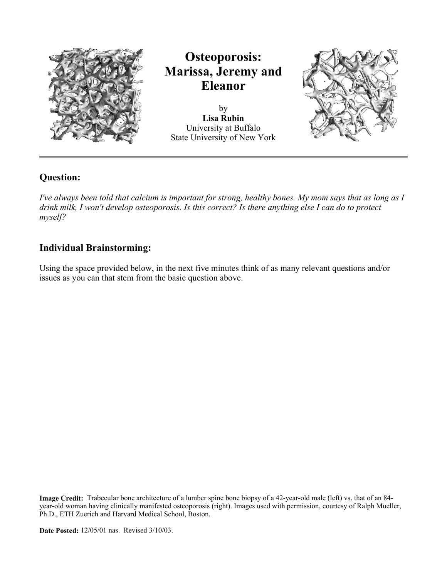

by **Lisa Rubin** University at Buffalo State University of New York



# **Question:**

*I've always been told that calcium is important for strong, healthy bones. My mom says that as long as I drink milk, I won't develop osteoporosis. Is this correct? Is there anything else I can do to protect myself?*

# **Individual Brainstorming:**

Using the space provided below, in the next five minutes think of as many relevant questions and/or issues as you can that stem from the basic question above.

**Image Credit:** Trabecular bone architecture of a lumber spine bone biopsy of a 42-year-old male (left) vs. that of an 84 year-old woman having clinically manifested osteoporosis (right). Images used with permission, courtesy of Ralph Mueller, Ph.D., ETH Zuerich and Harvard Medical School, Boston.

**Date Posted:** 12/05/01 nas. Revised 3/10/03.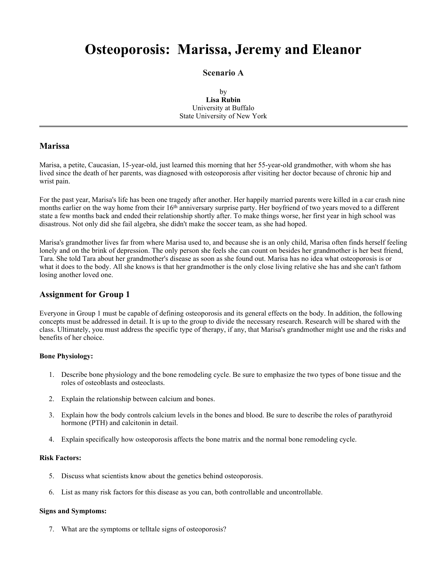### **Scenario A**

by **Lisa Rubin** University at Buffalo State University of New York

# **Marissa**

Marisa, a petite, Caucasian, 15-year-old, just learned this morning that her 55-year-old grandmother, with whom she has lived since the death of her parents, was diagnosed with osteoporosis after visiting her doctor because of chronic hip and wrist pain.

For the past year, Marisa's life has been one tragedy after another. Her happily married parents were killed in a car crash nine months earlier on the way home from their 16<sup>th</sup> anniversary surprise party. Her boyfriend of two years moved to a different state a few months back and ended their relationship shortly after. To make things worse, her first year in high school was disastrous. Not only did she fail algebra, she didn't make the soccer team, as she had hoped.

Marisa's grandmother lives far from where Marisa used to, and because she is an only child, Marisa often finds herself feeling lonely and on the brink of depression. The only person she feels she can count on besides her grandmother is her best friend, Tara. She told Tara about her grandmother's disease as soon as she found out. Marisa has no idea what osteoporosis is or what it does to the body. All she knows is that her grandmother is the only close living relative she has and she can't fathom losing another loved one.

# **Assignment for Group 1**

Everyone in Group 1 must be capable of defining osteoporosis and its general effects on the body. In addition, the following concepts must be addressed in detail. It is up to the group to divide the necessary research. Research will be shared with the class. Ultimately, you must address the specific type of therapy, if any, that Marisa's grandmother might use and the risks and benefits of her choice.

#### **Bone Physiology:**

- 1. Describe bone physiology and the bone remodeling cycle. Be sure to emphasize the two types of bone tissue and the roles of osteoblasts and osteoclasts.
- 2. Explain the relationship between calcium and bones.
- 3. Explain how the body controls calcium levels in the bones and blood. Be sure to describe the roles of parathyroid hormone (PTH) and calcitonin in detail.
- 4. Explain specifically how osteoporosis affects the bone matrix and the normal bone remodeling cycle.

#### **Risk Factors:**

- 5. Discuss what scientists know about the genetics behind osteoporosis.
- 6. List as many risk factors for this disease as you can, both controllable and uncontrollable.

#### **Signs and Symptoms:**

7. What are the symptoms or telltale signs of osteoporosis?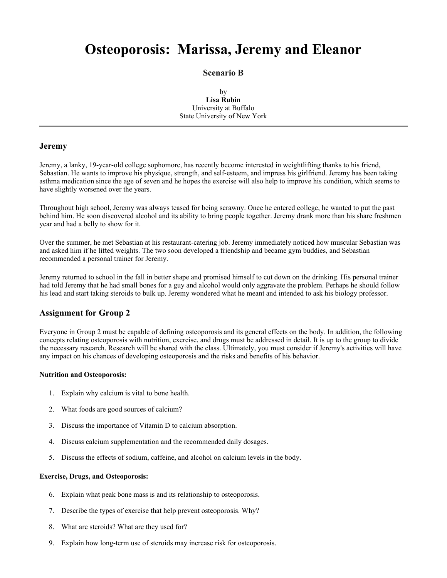### **Scenario B**

by **Lisa Rubin** University at Buffalo State University of New York

# **Jeremy**

Jeremy, a lanky, 19-year-old college sophomore, has recently become interested in weightlifting thanks to his friend, Sebastian. He wants to improve his physique, strength, and self-esteem, and impress his girlfriend. Jeremy has been taking asthma medication since the age of seven and he hopes the exercise will also help to improve his condition, which seems to have slightly worsened over the years.

Throughout high school, Jeremy was always teased for being scrawny. Once he entered college, he wanted to put the past behind him. He soon discovered alcohol and its ability to bring people together. Jeremy drank more than his share freshmen year and had a belly to show for it.

Over the summer, he met Sebastian at his restaurant-catering job. Jeremy immediately noticed how muscular Sebastian was and asked him if he lifted weights. The two soon developed a friendship and became gym buddies, and Sebastian recommended a personal trainer for Jeremy.

Jeremy returned to school in the fall in better shape and promised himself to cut down on the drinking. His personal trainer had told Jeremy that he had small bones for a guy and alcohol would only aggravate the problem. Perhaps he should follow his lead and start taking steroids to bulk up. Jeremy wondered what he meant and intended to ask his biology professor.

# **Assignment for Group 2**

Everyone in Group 2 must be capable of defining osteoporosis and its general effects on the body. In addition, the following concepts relating osteoporosis with nutrition, exercise, and drugs must be addressed in detail. It is up to the group to divide the necessary research. Research will be shared with the class. Ultimately, you must consider if Jeremy's activities will have any impact on his chances of developing osteoporosis and the risks and benefits of his behavior.

#### **Nutrition and Osteoporosis:**

- 1. Explain why calcium is vital to bone health.
- 2. What foods are good sources of calcium?
- 3. Discuss the importance of Vitamin D to calcium absorption.
- 4. Discuss calcium supplementation and the recommended daily dosages.
- 5. Discuss the effects of sodium, caffeine, and alcohol on calcium levels in the body.

#### **Exercise, Drugs, and Osteoporosis:**

- 6. Explain what peak bone mass is and its relationship to osteoporosis.
- 7. Describe the types of exercise that help prevent osteoporosis. Why?
- 8. What are steroids? What are they used for?
- 9. Explain how long-term use of steroids may increase risk for osteoporosis.